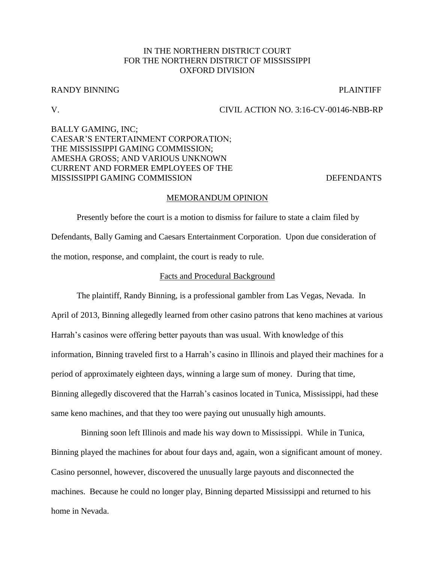# IN THE NORTHERN DISTRICT COURT FOR THE NORTHERN DISTRICT OF MISSISSIPPI OXFORD DIVISION

## RANDY BINNING PLAINTIFF

# V. CIVIL ACTION NO. 3:16-CV-00146-NBB-RP

# BALLY GAMING, INC; CAESAR'S ENTERTAINMENT CORPORATION; THE MISSISSIPPI GAMING COMMISSION; AMESHA GROSS; AND VARIOUS UNKNOWN CURRENT AND FORMER EMPLOYEES OF THE MISSISSIPPI GAMING COMMISSION DEFENDANTS

### MEMORANDUM OPINION

Presently before the court is a motion to dismiss for failure to state a claim filed by Defendants, Bally Gaming and Caesars Entertainment Corporation. Upon due consideration of the motion, response, and complaint, the court is ready to rule.

## Facts and Procedural Background

The plaintiff, Randy Binning, is a professional gambler from Las Vegas, Nevada. In April of 2013, Binning allegedly learned from other casino patrons that keno machines at various Harrah's casinos were offering better payouts than was usual. With knowledge of this information, Binning traveled first to a Harrah's casino in Illinois and played their machines for a period of approximately eighteen days, winning a large sum of money. During that time, Binning allegedly discovered that the Harrah's casinos located in Tunica, Mississippi, had these same keno machines, and that they too were paying out unusually high amounts.

 Binning soon left Illinois and made his way down to Mississippi. While in Tunica, Binning played the machines for about four days and, again, won a significant amount of money. Casino personnel, however, discovered the unusually large payouts and disconnected the machines. Because he could no longer play, Binning departed Mississippi and returned to his home in Nevada.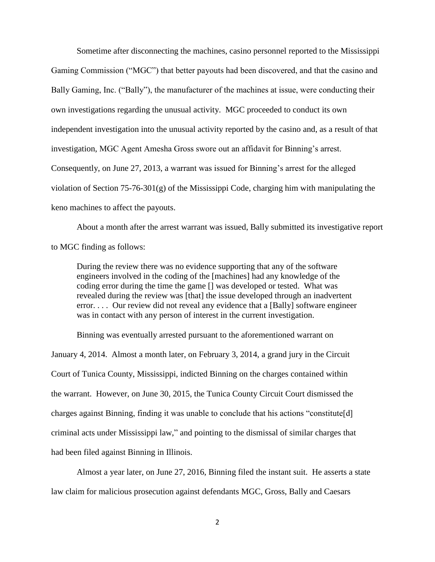Sometime after disconnecting the machines, casino personnel reported to the Mississippi Gaming Commission ("MGC") that better payouts had been discovered, and that the casino and Bally Gaming, Inc. ("Bally"), the manufacturer of the machines at issue, were conducting their own investigations regarding the unusual activity. MGC proceeded to conduct its own independent investigation into the unusual activity reported by the casino and, as a result of that investigation, MGC Agent Amesha Gross swore out an affidavit for Binning's arrest. Consequently, on June 27, 2013, a warrant was issued for Binning's arrest for the alleged violation of Section  $75-76-301(g)$  of the Mississippi Code, charging him with manipulating the keno machines to affect the payouts.

About a month after the arrest warrant was issued, Bally submitted its investigative report to MGC finding as follows:

During the review there was no evidence supporting that any of the software engineers involved in the coding of the [machines] had any knowledge of the coding error during the time the game [] was developed or tested. What was revealed during the review was [that] the issue developed through an inadvertent error. . . . Our review did not reveal any evidence that a [Bally] software engineer was in contact with any person of interest in the current investigation.

Binning was eventually arrested pursuant to the aforementioned warrant on

January 4, 2014. Almost a month later, on February 3, 2014, a grand jury in the Circuit Court of Tunica County, Mississippi, indicted Binning on the charges contained within the warrant. However, on June 30, 2015, the Tunica County Circuit Court dismissed the charges against Binning, finding it was unable to conclude that his actions "constitute[d] criminal acts under Mississippi law," and pointing to the dismissal of similar charges that had been filed against Binning in Illinois.

Almost a year later, on June 27, 2016, Binning filed the instant suit. He asserts a state law claim for malicious prosecution against defendants MGC, Gross, Bally and Caesars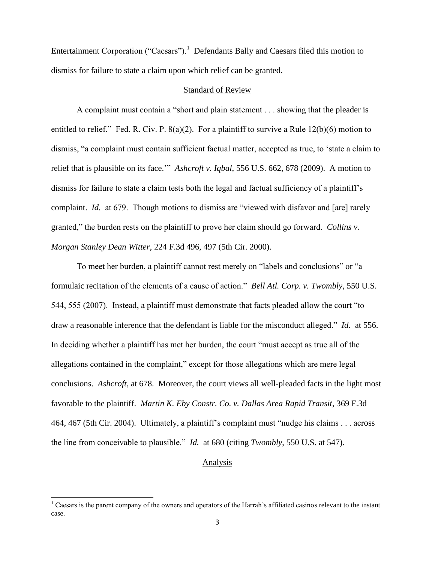Entertainment Corporation ("Caesars").<sup>1</sup> Defendants Bally and Caesars filed this motion to dismiss for failure to state a claim upon which relief can be granted.

## Standard of Review

A complaint must contain a "short and plain statement . . . showing that the pleader is entitled to relief." Fed. R. Civ. P. 8(a)(2). For a plaintiff to survive a Rule 12(b)(6) motion to dismiss, "a complaint must contain sufficient factual matter, accepted as true, to 'state a claim to relief that is plausible on its face.'" *Ashcroft v. Iqbal*, 556 U.S. 662, 678 (2009). A motion to dismiss for failure to state a claim tests both the legal and factual sufficiency of a plaintiff's complaint. *Id.* at 679. Though motions to dismiss are "viewed with disfavor and [are] rarely granted," the burden rests on the plaintiff to prove her claim should go forward. *Collins v. Morgan Stanley Dean Witter*, 224 F.3d 496, 497 (5th Cir. 2000).

To meet her burden, a plaintiff cannot rest merely on "labels and conclusions" or "a formulaic recitation of the elements of a cause of action." *Bell Atl. Corp. v. Twombly*, 550 U.S. 544, 555 (2007). Instead, a plaintiff must demonstrate that facts pleaded allow the court "to draw a reasonable inference that the defendant is liable for the misconduct alleged." *Id.* at 556. In deciding whether a plaintiff has met her burden, the court "must accept as true all of the allegations contained in the complaint," except for those allegations which are mere legal conclusions. *Ashcroft*, at 678. Moreover, the court views all well-pleaded facts in the light most favorable to the plaintiff. *Martin K. Eby Constr. Co. v. Dallas Area Rapid Transit*, 369 F.3d 464, 467 (5th Cir. 2004).Ultimately, a plaintiff's complaint must "nudge his claims . . . across the line from conceivable to plausible." *Id.* at 680 (citing *Twombly*, 550 U.S. at 547).

### Analysis

 $\overline{\phantom{a}}$ 

 $<sup>1</sup>$  Caesars is the parent company of the owners and operators of the Harrah's affiliated casinos relevant to the instant</sup> case.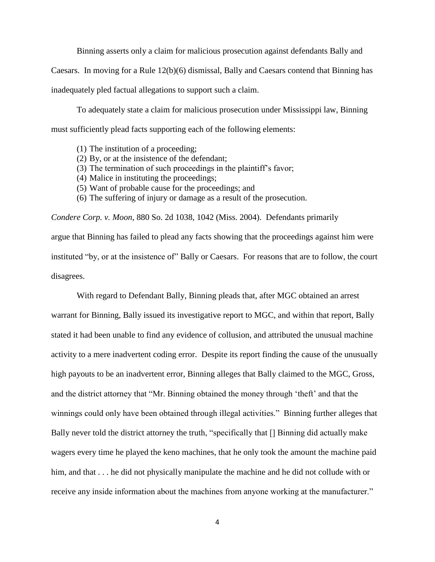Binning asserts only a claim for malicious prosecution against defendants Bally and

Caesars. In moving for a Rule 12(b)(6) dismissal, Bally and Caesars contend that Binning has

inadequately pled factual allegations to support such a claim.

To adequately state a claim for malicious prosecution under Mississippi law, Binning must sufficiently plead facts supporting each of the following elements:

- (1) The institution of a proceeding;
- (2) By, or at the insistence of the defendant;
- (3) The termination of such proceedings in the plaintiff's favor;
- (4) Malice in instituting the proceedings;
- (5) Want of probable cause for the proceedings; and
- (6) The suffering of injury or damage as a result of the prosecution.

*Condere Corp. v. Moon*, 880 So. 2d 1038, 1042 (Miss. 2004). Defendants primarily argue that Binning has failed to plead any facts showing that the proceedings against him were instituted "by, or at the insistence of" Bally or Caesars. For reasons that are to follow, the court disagrees.

With regard to Defendant Bally, Binning pleads that, after MGC obtained an arrest warrant for Binning, Bally issued its investigative report to MGC, and within that report, Bally stated it had been unable to find any evidence of collusion, and attributed the unusual machine activity to a mere inadvertent coding error. Despite its report finding the cause of the unusually high payouts to be an inadvertent error, Binning alleges that Bally claimed to the MGC, Gross, and the district attorney that "Mr. Binning obtained the money through 'theft' and that the winnings could only have been obtained through illegal activities." Binning further alleges that Bally never told the district attorney the truth, "specifically that [] Binning did actually make wagers every time he played the keno machines, that he only took the amount the machine paid him, and that . . . he did not physically manipulate the machine and he did not collude with or receive any inside information about the machines from anyone working at the manufacturer."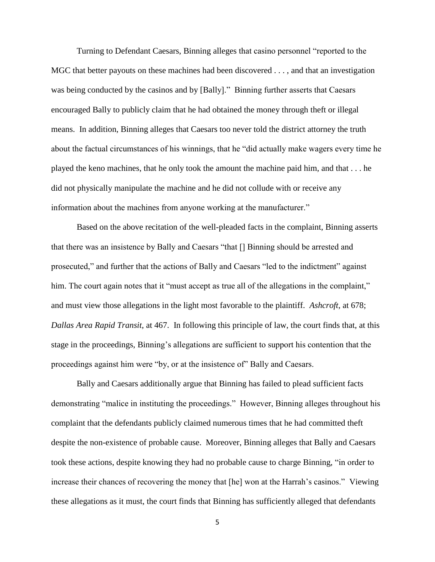Turning to Defendant Caesars, Binning alleges that casino personnel "reported to the MGC that better payouts on these machines had been discovered . . . , and that an investigation was being conducted by the casinos and by [Bally]." Binning further asserts that Caesars encouraged Bally to publicly claim that he had obtained the money through theft or illegal means. In addition, Binning alleges that Caesars too never told the district attorney the truth about the factual circumstances of his winnings, that he "did actually make wagers every time he played the keno machines, that he only took the amount the machine paid him, and that . . . he did not physically manipulate the machine and he did not collude with or receive any information about the machines from anyone working at the manufacturer."

Based on the above recitation of the well-pleaded facts in the complaint, Binning asserts that there was an insistence by Bally and Caesars "that [] Binning should be arrested and prosecuted," and further that the actions of Bally and Caesars "led to the indictment" against him. The court again notes that it "must accept as true all of the allegations in the complaint," and must view those allegations in the light most favorable to the plaintiff. *Ashcroft*, at 678; *Dallas Area Rapid Transit*, at 467. In following this principle of law, the court finds that, at this stage in the proceedings, Binning's allegations are sufficient to support his contention that the proceedings against him were "by, or at the insistence of" Bally and Caesars.

Bally and Caesars additionally argue that Binning has failed to plead sufficient facts demonstrating "malice in instituting the proceedings." However, Binning alleges throughout his complaint that the defendants publicly claimed numerous times that he had committed theft despite the non-existence of probable cause. Moreover, Binning alleges that Bally and Caesars took these actions, despite knowing they had no probable cause to charge Binning, "in order to increase their chances of recovering the money that [he] won at the Harrah's casinos." Viewing these allegations as it must, the court finds that Binning has sufficiently alleged that defendants

5